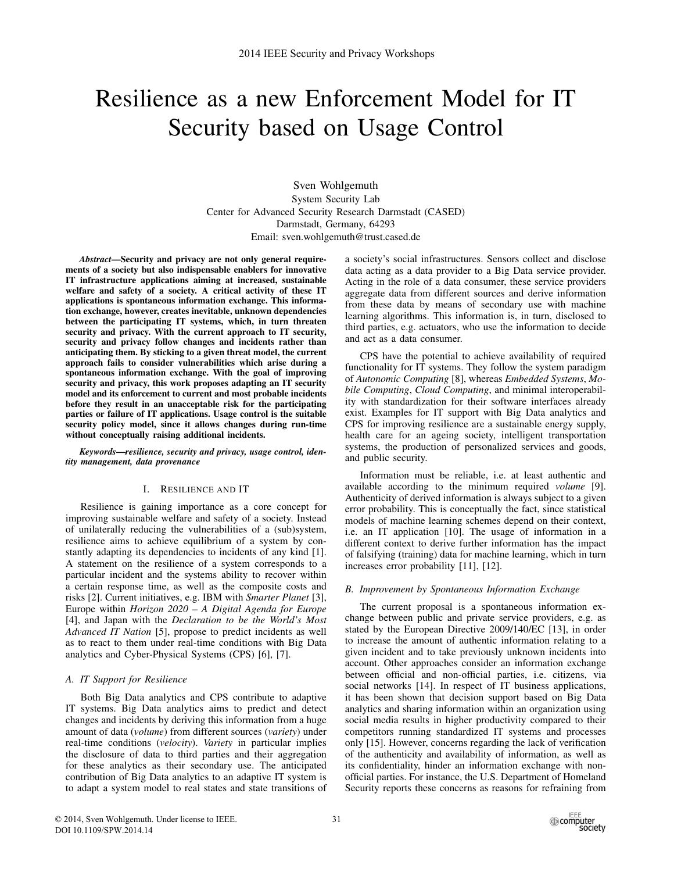# Resilience as a new Enforcement Model for IT Security based on Usage Control

Sven Wohlgemuth System Security Lab Center for Advanced Security Research Darmstadt (CASED) Darmstadt, Germany, 64293 Email: sven.wohlgemuth@trust.cased.de

*Abstract*—Security and privacy are not only general requirements of a society but also indispensable enablers for innovative IT infrastructure applications aiming at increased, sustainable welfare and safety of a society. A critical activity of these IT applications is spontaneous information exchange. This information exchange, however, creates inevitable, unknown dependencies between the participating IT systems, which, in turn threaten security and privacy. With the current approach to IT security, security and privacy follow changes and incidents rather than anticipating them. By sticking to a given threat model, the current approach fails to consider vulnerabilities which arise during a spontaneous information exchange. With the goal of improving security and privacy, this work proposes adapting an IT security model and its enforcement to current and most probable incidents before they result in an unacceptable risk for the participating parties or failure of IT applications. Usage control is the suitable security policy model, since it allows changes during run-time without conceptually raising additional incidents.

*Keywords*—*resilience, security and privacy, usage control, identity management, data provenance*

# I. RESILIENCE AND IT

Resilience is gaining importance as a core concept for improving sustainable welfare and safety of a society. Instead of unilaterally reducing the vulnerabilities of a (sub)system, resilience aims to achieve equilibrium of a system by constantly adapting its dependencies to incidents of any kind [1]. A statement on the resilience of a system corresponds to a particular incident and the systems ability to recover within a certain response time, as well as the composite costs and risks [2]. Current initiatives, e.g. IBM with *Smarter Planet* [3], Europe within *Horizon 2020 – A Digital Agenda for Europe* [4], and Japan with the *Declaration to be the World's Most Advanced IT Nation* [5], propose to predict incidents as well as to react to them under real-time conditions with Big Data analytics and Cyber-Physical Systems (CPS) [6], [7].

## *A. IT Support for Resilience*

Both Big Data analytics and CPS contribute to adaptive IT systems. Big Data analytics aims to predict and detect changes and incidents by deriving this information from a huge amount of data (*volume*) from different sources (*variety*) under real-time conditions (*velocity*). *Variety* in particular implies the disclosure of data to third parties and their aggregation for these analytics as their secondary use. The anticipated contribution of Big Data analytics to an adaptive IT system is to adapt a system model to real states and state transitions of a society's social infrastructures. Sensors collect and disclose data acting as a data provider to a Big Data service provider. Acting in the role of a data consumer, these service providers aggregate data from different sources and derive information from these data by means of secondary use with machine learning algorithms. This information is, in turn, disclosed to third parties, e.g. actuators, who use the information to decide and act as a data consumer.

CPS have the potential to achieve availability of required functionality for IT systems. They follow the system paradigm of *Autonomic Computing* [8], whereas *Embedded Systems*, *Mobile Computing*, *Cloud Computing*, and minimal interoperability with standardization for their software interfaces already exist. Examples for IT support with Big Data analytics and CPS for improving resilience are a sustainable energy supply, health care for an ageing society, intelligent transportation systems, the production of personalized services and goods, and public security.

Information must be reliable, i.e. at least authentic and available according to the minimum required *volume* [9]. Authenticity of derived information is always subject to a given error probability. This is conceptually the fact, since statistical models of machine learning schemes depend on their context, i.e. an IT application [10]. The usage of information in a different context to derive further information has the impact of falsifying (training) data for machine learning, which in turn increases error probability [11], [12].

#### *B. Improvement by Spontaneous Information Exchange*

The current proposal is a spontaneous information exchange between public and private service providers, e.g. as stated by the European Directive 2009/140/EC [13], in order to increase the amount of authentic information relating to a given incident and to take previously unknown incidents into account. Other approaches consider an information exchange between official and non-official parties, i.e. citizens, via social networks [14]. In respect of IT business applications, it has been shown that decision support based on Big Data analytics and sharing information within an organization using social media results in higher productivity compared to their competitors running standardized IT systems and processes only [15]. However, concerns regarding the lack of verification of the authenticity and availability of information, as well as its confidentiality, hinder an information exchange with nonofficial parties. For instance, the U.S. Department of Homeland Security reports these concerns as reasons for refraining from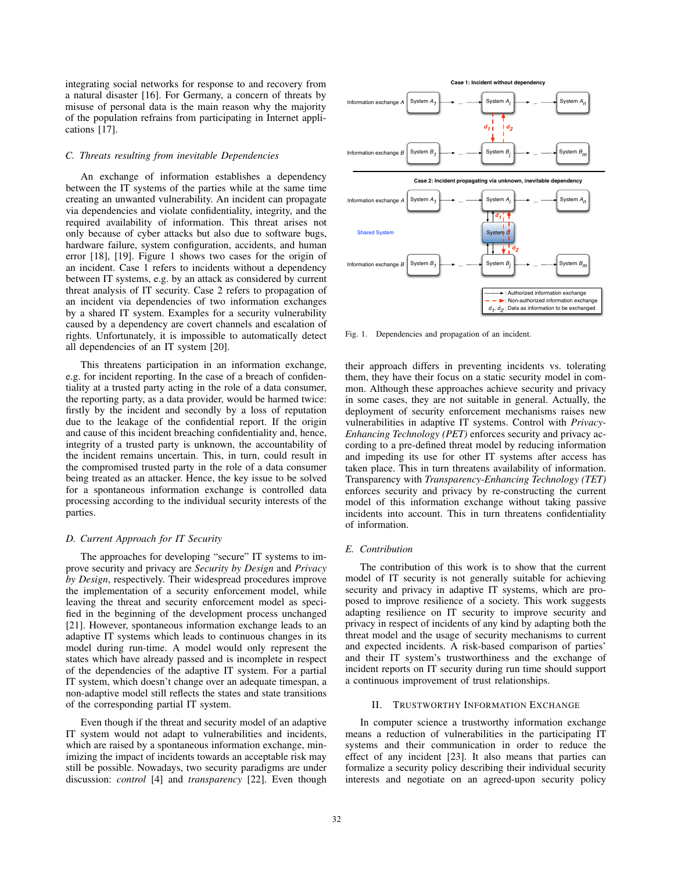integrating social networks for response to and recovery from a natural disaster [16]. For Germany, a concern of threats by misuse of personal data is the main reason why the majority of the population refrains from participating in Internet applications [17].

## *C. Threats resulting from inevitable Dependencies*

An exchange of information establishes a dependency between the IT systems of the parties while at the same time creating an unwanted vulnerability. An incident can propagate via dependencies and violate confidentiality, integrity, and the required availability of information. This threat arises not only because of cyber attacks but also due to software bugs, hardware failure, system configuration, accidents, and human error [18], [19]. Figure 1 shows two cases for the origin of an incident. Case 1 refers to incidents without a dependency between IT systems, e.g. by an attack as considered by current threat analysis of IT security. Case 2 refers to propagation of an incident via dependencies of two information exchanges by a shared IT system. Examples for a security vulnerability caused by a dependency are covert channels and escalation of rights. Unfortunately, it is impossible to automatically detect all dependencies of an IT system [20].

This threatens participation in an information exchange, e.g. for incident reporting. In the case of a breach of confidentiality at a trusted party acting in the role of a data consumer, the reporting party, as a data provider, would be harmed twice: firstly by the incident and secondly by a loss of reputation due to the leakage of the confidential report. If the origin and cause of this incident breaching confidentiality and, hence, integrity of a trusted party is unknown, the accountability of the incident remains uncertain. This, in turn, could result in the compromised trusted party in the role of a data consumer being treated as an attacker. Hence, the key issue to be solved for a spontaneous information exchange is controlled data processing according to the individual security interests of the parties.

#### *D. Current Approach for IT Security*

The approaches for developing "secure" IT systems to improve security and privacy are *Security by Design* and *Privacy by Design*, respectively. Their widespread procedures improve the implementation of a security enforcement model, while leaving the threat and security enforcement model as specified in the beginning of the development process unchanged [21]. However, spontaneous information exchange leads to an adaptive IT systems which leads to continuous changes in its model during run-time. A model would only represent the states which have already passed and is incomplete in respect of the dependencies of the adaptive IT system. For a partial IT system, which doesn't change over an adequate timespan, a non-adaptive model still reflects the states and state transitions of the corresponding partial IT system.

Even though if the threat and security model of an adaptive IT system would not adapt to vulnerabilities and incidents, which are raised by a spontaneous information exchange, minimizing the impact of incidents towards an acceptable risk may still be possible. Nowadays, two security paradigms are under discussion: *control* [4] and *transparency* [22]. Even though



Fig. 1. Dependencies and propagation of an incident.

their approach differs in preventing incidents vs. tolerating them, they have their focus on a static security model in common. Although these approaches achieve security and privacy in some cases, they are not suitable in general. Actually, the deployment of security enforcement mechanisms raises new vulnerabilities in adaptive IT systems. Control with *Privacy-Enhancing Technology (PET)* enforces security and privacy according to a pre-defined threat model by reducing information and impeding its use for other IT systems after access has taken place. This in turn threatens availability of information. Transparency with *Transparency-Enhancing Technology (TET)* enforces security and privacy by re-constructing the current model of this information exchange without taking passive incidents into account. This in turn threatens confidentiality of information.

#### *E. Contribution*

The contribution of this work is to show that the current model of IT security is not generally suitable for achieving security and privacy in adaptive IT systems, which are proposed to improve resilience of a society. This work suggests adapting resilience on IT security to improve security and privacy in respect of incidents of any kind by adapting both the threat model and the usage of security mechanisms to current and expected incidents. A risk-based comparison of parties' and their IT system's trustworthiness and the exchange of incident reports on IT security during run time should support a continuous improvement of trust relationships.

#### II. TRUSTWORTHY INFORMATION EXCHANGE

In computer science a trustworthy information exchange means a reduction of vulnerabilities in the participating IT systems and their communication in order to reduce the effect of any incident [23]. It also means that parties can formalize a security policy describing their individual security interests and negotiate on an agreed-upon security policy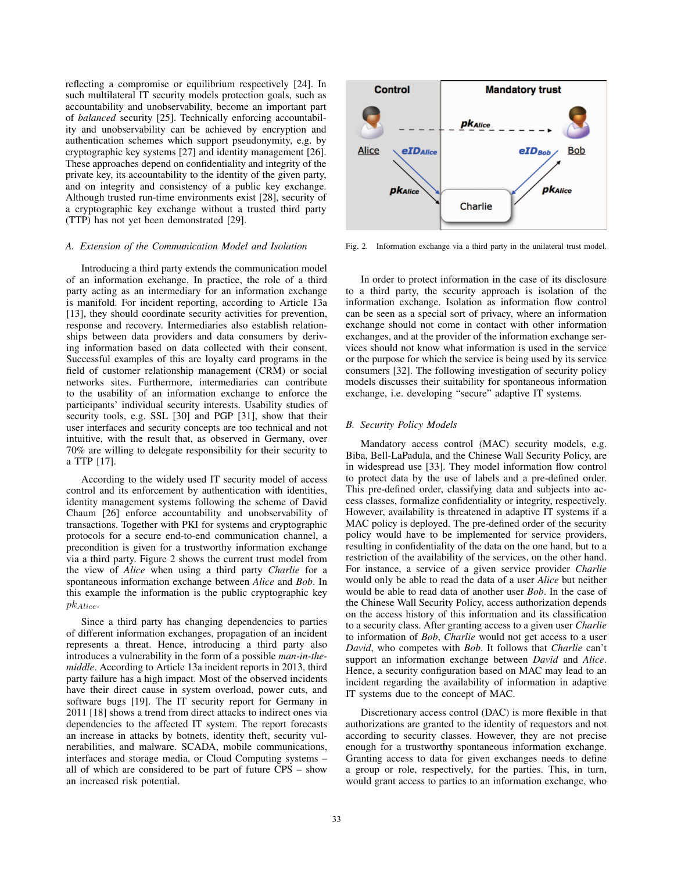reflecting a compromise or equilibrium respectively [24]. In such multilateral IT security models protection goals, such as accountability and unobservability, become an important part of *balanced* security [25]. Technically enforcing accountability and unobservability can be achieved by encryption and authentication schemes which support pseudonymity, e.g. by cryptographic key systems [27] and identity management [26]. These approaches depend on confidentiality and integrity of the private key, its accountability to the identity of the given party, and on integrity and consistency of a public key exchange. Although trusted run-time environments exist [28], security of a cryptographic key exchange without a trusted third party (TTP) has not yet been demonstrated [29].

### *A. Extension of the Communication Model and Isolation*

Introducing a third party extends the communication model of an information exchange. In practice, the role of a third party acting as an intermediary for an information exchange is manifold. For incident reporting, according to Article 13a [13], they should coordinate security activities for prevention, response and recovery. Intermediaries also establish relationships between data providers and data consumers by deriving information based on data collected with their consent. Successful examples of this are loyalty card programs in the field of customer relationship management (CRM) or social networks sites. Furthermore, intermediaries can contribute to the usability of an information exchange to enforce the participants' individual security interests. Usability studies of security tools, e.g. SSL [30] and PGP [31], show that their user interfaces and security concepts are too technical and not intuitive, with the result that, as observed in Germany, over 70% are willing to delegate responsibility for their security to a TTP [17].

According to the widely used IT security model of access control and its enforcement by authentication with identities, identity management systems following the scheme of David Chaum [26] enforce accountability and unobservability of transactions. Together with PKI for systems and cryptographic protocols for a secure end-to-end communication channel, a precondition is given for a trustworthy information exchange via a third party. Figure 2 shows the current trust model from the view of *Alice* when using a third party *Charlie* for a spontaneous information exchange between *Alice* and *Bob*. In this example the information is the public cryptographic key pk*Alice*.

Since a third party has changing dependencies to parties of different information exchanges, propagation of an incident represents a threat. Hence, introducing a third party also introduces a vulnerability in the form of a possible *man-in-themiddle*. According to Article 13a incident reports in 2013, third party failure has a high impact. Most of the observed incidents have their direct cause in system overload, power cuts, and software bugs [19]. The IT security report for Germany in 2011 [18] shows a trend from direct attacks to indirect ones via dependencies to the affected IT system. The report forecasts an increase in attacks by botnets, identity theft, security vulnerabilities, and malware. SCADA, mobile communications, interfaces and storage media, or Cloud Computing systems – all of which are considered to be part of future CPS – show an increased risk potential.



Fig. 2. Information exchange via a third party in the unilateral trust model.

In order to protect information in the case of its disclosure to a third party, the security approach is isolation of the information exchange. Isolation as information flow control can be seen as a special sort of privacy, where an information exchange should not come in contact with other information exchanges, and at the provider of the information exchange services should not know what information is used in the service or the purpose for which the service is being used by its service consumers [32]. The following investigation of security policy models discusses their suitability for spontaneous information exchange, i.e. developing "secure" adaptive IT systems.

# *B. Security Policy Models*

Mandatory access control (MAC) security models, e.g. Biba, Bell-LaPadula, and the Chinese Wall Security Policy, are in widespread use [33]. They model information flow control to protect data by the use of labels and a pre-defined order. This pre-defined order, classifying data and subjects into access classes, formalize confidentiality or integrity, respectively. However, availability is threatened in adaptive IT systems if a MAC policy is deployed. The pre-defined order of the security policy would have to be implemented for service providers, resulting in confidentiality of the data on the one hand, but to a restriction of the availability of the services, on the other hand. For instance, a service of a given service provider *Charlie* would only be able to read the data of a user *Alice* but neither would be able to read data of another user *Bob*. In the case of the Chinese Wall Security Policy, access authorization depends on the access history of this information and its classification to a security class. After granting access to a given user *Charlie* to information of *Bob*, *Charlie* would not get access to a user *David*, who competes with *Bob*. It follows that *Charlie* can't support an information exchange between *David* and *Alice*. Hence, a security configuration based on MAC may lead to an incident regarding the availability of information in adaptive IT systems due to the concept of MAC.

Discretionary access control (DAC) is more flexible in that authorizations are granted to the identity of requestors and not according to security classes. However, they are not precise enough for a trustworthy spontaneous information exchange. Granting access to data for given exchanges needs to define a group or role, respectively, for the parties. This, in turn, would grant access to parties to an information exchange, who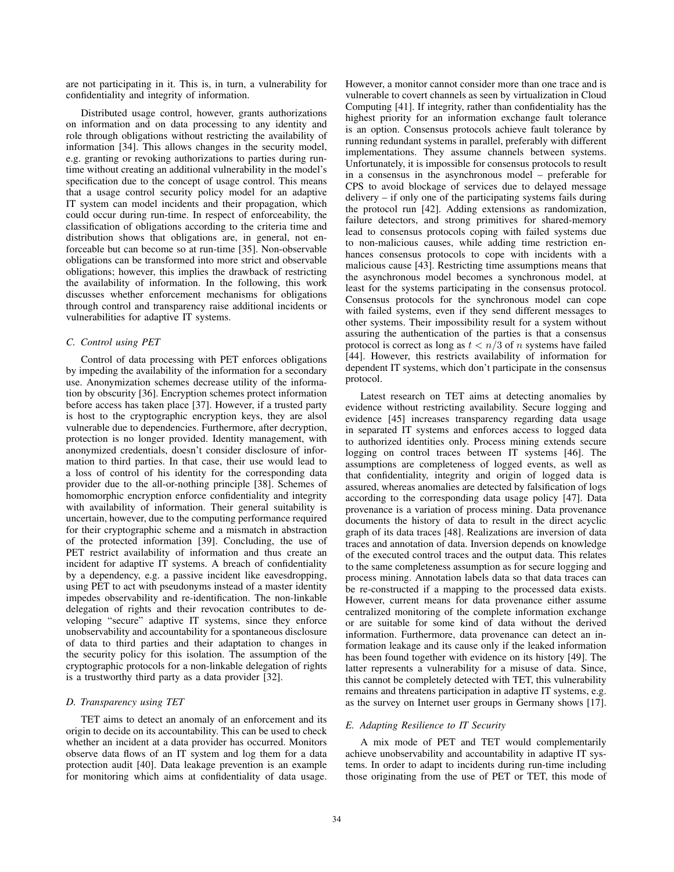are not participating in it. This is, in turn, a vulnerability for confidentiality and integrity of information.

Distributed usage control, however, grants authorizations on information and on data processing to any identity and role through obligations without restricting the availability of information [34]. This allows changes in the security model, e.g. granting or revoking authorizations to parties during runtime without creating an additional vulnerability in the model's specification due to the concept of usage control. This means that a usage control security policy model for an adaptive IT system can model incidents and their propagation, which could occur during run-time. In respect of enforceability, the classification of obligations according to the criteria time and distribution shows that obligations are, in general, not enforceable but can become so at run-time [35]. Non-observable obligations can be transformed into more strict and observable obligations; however, this implies the drawback of restricting the availability of information. In the following, this work discusses whether enforcement mechanisms for obligations through control and transparency raise additional incidents or vulnerabilities for adaptive IT systems.

## *C. Control using PET*

Control of data processing with PET enforces obligations by impeding the availability of the information for a secondary use. Anonymization schemes decrease utility of the information by obscurity [36]. Encryption schemes protect information before access has taken place [37]. However, if a trusted party is host to the cryptographic encryption keys, they are alsol vulnerable due to dependencies. Furthermore, after decryption, protection is no longer provided. Identity management, with anonymized credentials, doesn't consider disclosure of information to third parties. In that case, their use would lead to a loss of control of his identity for the corresponding data provider due to the all-or-nothing principle [38]. Schemes of homomorphic encryption enforce confidentiality and integrity with availability of information. Their general suitability is uncertain, however, due to the computing performance required for their cryptographic scheme and a mismatch in abstraction of the protected information [39]. Concluding, the use of PET restrict availability of information and thus create an incident for adaptive IT systems. A breach of confidentiality by a dependency, e.g. a passive incident like eavesdropping, using PET to act with pseudonyms instead of a master identity impedes observability and re-identification. The non-linkable delegation of rights and their revocation contributes to developing "secure" adaptive IT systems, since they enforce unobservability and accountability for a spontaneous disclosure of data to third parties and their adaptation to changes in the security policy for this isolation. The assumption of the cryptographic protocols for a non-linkable delegation of rights is a trustworthy third party as a data provider [32].

# *D. Transparency using TET*

TET aims to detect an anomaly of an enforcement and its origin to decide on its accountability. This can be used to check whether an incident at a data provider has occurred. Monitors observe data flows of an IT system and log them for a data protection audit [40]. Data leakage prevention is an example for monitoring which aims at confidentiality of data usage.

However, a monitor cannot consider more than one trace and is vulnerable to covert channels as seen by virtualization in Cloud Computing [41]. If integrity, rather than confidentiality has the highest priority for an information exchange fault tolerance is an option. Consensus protocols achieve fault tolerance by running redundant systems in parallel, preferably with different implementations. They assume channels between systems. Unfortunately, it is impossible for consensus protocols to result in a consensus in the asynchronous model – preferable for CPS to avoid blockage of services due to delayed message delivery – if only one of the participating systems fails during the protocol run [42]. Adding extensions as randomization, failure detectors, and strong primitives for shared-memory lead to consensus protocols coping with failed systems due to non-malicious causes, while adding time restriction enhances consensus protocols to cope with incidents with a malicious cause [43]. Restricting time assumptions means that the asynchronous model becomes a synchronous model, at least for the systems participating in the consensus protocol. Consensus protocols for the synchronous model can cope with failed systems, even if they send different messages to other systems. Their impossibility result for a system without assuring the authentication of the parties is that a consensus protocol is correct as long as  $t < n/3$  of n systems have failed [44]. However, this restricts availability of information for dependent IT systems, which don't participate in the consensus protocol.

Latest research on TET aims at detecting anomalies by evidence without restricting availability. Secure logging and evidence [45] increases transparency regarding data usage in separated IT systems and enforces access to logged data to authorized identities only. Process mining extends secure logging on control traces between IT systems [46]. The assumptions are completeness of logged events, as well as that confidentiality, integrity and origin of logged data is assured, whereas anomalies are detected by falsification of logs according to the corresponding data usage policy [47]. Data provenance is a variation of process mining. Data provenance documents the history of data to result in the direct acyclic graph of its data traces [48]. Realizations are inversion of data traces and annotation of data. Inversion depends on knowledge of the executed control traces and the output data. This relates to the same completeness assumption as for secure logging and process mining. Annotation labels data so that data traces can be re-constructed if a mapping to the processed data exists. However, current means for data provenance either assume centralized monitoring of the complete information exchange or are suitable for some kind of data without the derived information. Furthermore, data provenance can detect an information leakage and its cause only if the leaked information has been found together with evidence on its history [49]. The latter represents a vulnerability for a misuse of data. Since, this cannot be completely detected with TET, this vulnerability remains and threatens participation in adaptive IT systems, e.g. as the survey on Internet user groups in Germany shows [17].

## *E. Adapting Resilience to IT Security*

A mix mode of PET and TET would complementarily achieve unobservability and accountability in adaptive IT systems. In order to adapt to incidents during run-time including those originating from the use of PET or TET, this mode of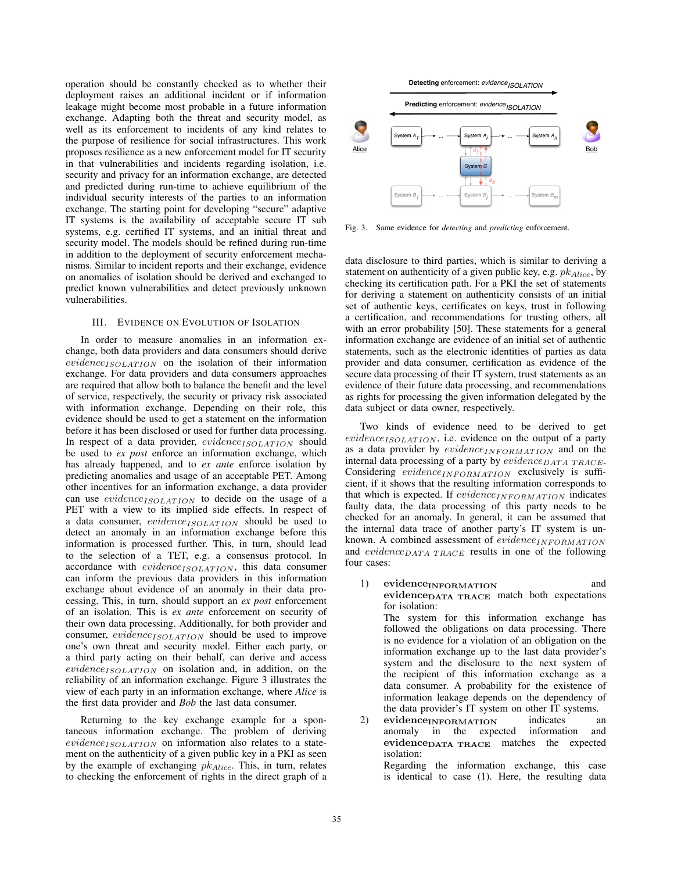operation should be constantly checked as to whether their deployment raises an additional incident or if information leakage might become most probable in a future information exchange. Adapting both the threat and security model, as well as its enforcement to incidents of any kind relates to the purpose of resilience for social infrastructures. This work proposes resilience as a new enforcement model for IT security in that vulnerabilities and incidents regarding isolation, i.e. security and privacy for an information exchange, are detected and predicted during run-time to achieve equilibrium of the individual security interests of the parties to an information exchange. The starting point for developing "secure" adaptive IT systems is the availability of acceptable secure IT sub systems, e.g. certified IT systems, and an initial threat and security model. The models should be refined during run-time in addition to the deployment of security enforcement mechanisms. Similar to incident reports and their exchange, evidence on anomalies of isolation should be derived and exchanged to predict known vulnerabilities and detect previously unknown vulnerabilities.

## III. EVIDENCE ON EVOLUTION OF ISOLATION

In order to measure anomalies in an information exchange, both data providers and data consumers should derive evidence*ISOLAT ION* on the isolation of their information exchange. For data providers and data consumers approaches are required that allow both to balance the benefit and the level of service, respectively, the security or privacy risk associated with information exchange. Depending on their role, this evidence should be used to get a statement on the information before it has been disclosed or used for further data processing. In respect of a data provider, evidence*ISOLAT ION* should be used to *ex post* enforce an information exchange, which has already happened, and to *ex ante* enforce isolation by predicting anomalies and usage of an acceptable PET. Among other incentives for an information exchange, a data provider can use evidence*ISOLAT ION* to decide on the usage of a PET with a view to its implied side effects. In respect of a data consumer, evidence*ISOLAT ION* should be used to detect an anomaly in an information exchange before this information is processed further. This, in turn, should lead to the selection of a TET, e.g. a consensus protocol. In accordance with evidence*ISOLAT ION* , this data consumer can inform the previous data providers in this information exchange about evidence of an anomaly in their data processing. This, in turn, should support an *ex post* enforcement of an isolation. This is *ex ante* enforcement on security of their own data processing. Additionally, for both provider and consumer, evidence*ISOLAT ION* should be used to improve one's own threat and security model. Either each party, or a third party acting on their behalf, can derive and access evidence*ISOLAT ION* on isolation and, in addition, on the reliability of an information exchange. Figure 3 illustrates the view of each party in an information exchange, where *Alice* is the first data provider and *Bob* the last data consumer.

Returning to the key exchange example for a spontaneous information exchange. The problem of deriving evidence*ISOLAT ION* on information also relates to a statement on the authenticity of a given public key in a PKI as seen by the example of exchanging pk*Alice*. This, in turn, relates to checking the enforcement of rights in the direct graph of a



Fig. 3. Same evidence for *detecting* and *predicting* enforcement.

data disclosure to third parties, which is similar to deriving a statement on authenticity of a given public key, e.g. pk*Alice*, by checking its certification path. For a PKI the set of statements for deriving a statement on authenticity consists of an initial set of authentic keys, certificates on keys, trust in following a certification, and recommendations for trusting others, all with an error probability [50]. These statements for a general information exchange are evidence of an initial set of authentic statements, such as the electronic identities of parties as data provider and data consumer, certification as evidence of the secure data processing of their IT system, trust statements as an evidence of their future data processing, and recommendations as rights for processing the given information delegated by the data subject or data owner, respectively.

Two kinds of evidence need to be derived to get evidence*ISOLAT ION* , i.e. evidence on the output of a party as a data provider by evidence*INF ORMAT ION* and on the internal data processing of a party by  $evidence_{DATA\ TRACE}$ . Considering  $evidence_{INFORMATION}$  exclusively is sufficient, if it shows that the resulting information corresponds to that which is expected. If evidence*INF ORMAT ION* indicates faulty data, the data processing of this party needs to be checked for an anomaly. In general, it can be assumed that the internal data trace of another party's IT system is unknown. A combined assessment of evidence*INF ORMAT ION* and *evidence*<sub>DATA</sub> TRACE results in one of the following four cases:

1) **evidenceINFORMATION** and **evidenceDATA TRACE** match both expectations for isolation: The system for this information exchange has followed the obligations on data processing. There is no evidence for a violation of an obligation on the

information exchange up to the last data provider's system and the disclosure to the next system of the recipient of this information exchange as a data consumer. A probability for the existence of information leakage depends on the dependency of the data provider's IT system on other IT systems.

2) **evidenceINFORMATION** indicates an anomaly in the expected information and **evidenceDATA TRACE** matches the expected isolation:

Regarding the information exchange, this case is identical to case (1). Here, the resulting data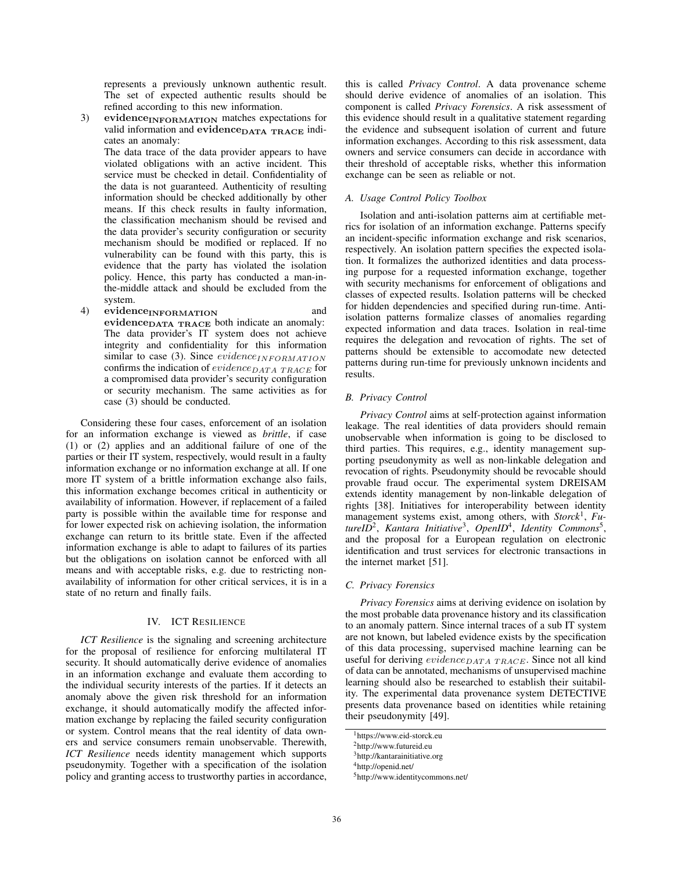represents a previously unknown authentic result. The set of expected authentic results should be refined according to this new information.

3) **evidenceINFORMATION** matches expectations for valid information and evidence<sub>DATA</sub> TRACE indicates an anomaly:

The data trace of the data provider appears to have violated obligations with an active incident. This service must be checked in detail. Confidentiality of the data is not guaranteed. Authenticity of resulting information should be checked additionally by other means. If this check results in faulty information, the classification mechanism should be revised and the data provider's security configuration or security mechanism should be modified or replaced. If no vulnerability can be found with this party, this is evidence that the party has violated the isolation policy. Hence, this party has conducted a man-inthe-middle attack and should be excluded from the system.

4) **evidenceINFORMATION** and **evidenceDATA TRACE** both indicate an anomaly: The data provider's IT system does not achieve integrity and confidentiality for this information similar to case (3). Since *evidence<sub>INFORMATION*</sub> confirms the indication of *evidence DATA TRACE* for a compromised data provider's security configuration or security mechanism. The same activities as for case (3) should be conducted.

Considering these four cases, enforcement of an isolation for an information exchange is viewed as *brittle*, if case (1) or (2) applies and an additional failure of one of the parties or their IT system, respectively, would result in a faulty information exchange or no information exchange at all. If one more IT system of a brittle information exchange also fails, this information exchange becomes critical in authenticity or availability of information. However, if replacement of a failed party is possible within the available time for response and for lower expected risk on achieving isolation, the information exchange can return to its brittle state. Even if the affected information exchange is able to adapt to failures of its parties but the obligations on isolation cannot be enforced with all means and with acceptable risks, e.g. due to restricting nonavailability of information for other critical services, it is in a state of no return and finally fails.

# IV. ICT RESILIENCE

*ICT Resilience* is the signaling and screening architecture for the proposal of resilience for enforcing multilateral IT security. It should automatically derive evidence of anomalies in an information exchange and evaluate them according to the individual security interests of the parties. If it detects an anomaly above the given risk threshold for an information exchange, it should automatically modify the affected information exchange by replacing the failed security configuration or system. Control means that the real identity of data owners and service consumers remain unobservable. Therewith, *ICT Resilience* needs identity management which supports pseudonymity. Together with a specification of the isolation policy and granting access to trustworthy parties in accordance,

this is called *Privacy Control*. A data provenance scheme should derive evidence of anomalies of an isolation. This component is called *Privacy Forensics*. A risk assessment of this evidence should result in a qualitative statement regarding the evidence and subsequent isolation of current and future information exchanges. According to this risk assessment, data owners and service consumers can decide in accordance with their threshold of acceptable risks, whether this information exchange can be seen as reliable or not.

# *A. Usage Control Policy Toolbox*

Isolation and anti-isolation patterns aim at certifiable metrics for isolation of an information exchange. Patterns specify an incident-specific information exchange and risk scenarios, respectively. An isolation pattern specifies the expected isolation. It formalizes the authorized identities and data processing purpose for a requested information exchange, together with security mechanisms for enforcement of obligations and classes of expected results. Isolation patterns will be checked for hidden dependencies and specified during run-time. Antiisolation patterns formalize classes of anomalies regarding expected information and data traces. Isolation in real-time requires the delegation and revocation of rights. The set of patterns should be extensible to accomodate new detected patterns during run-time for previously unknown incidents and results.

#### *B. Privacy Control*

*Privacy Control* aims at self-protection against information leakage. The real identities of data providers should remain unobservable when information is going to be disclosed to third parties. This requires, e.g., identity management supporting pseudonymity as well as non-linkable delegation and revocation of rights. Pseudonymity should be revocable should provable fraud occur. The experimental system DREISAM extends identity management by non-linkable delegation of rights [38]. Initiatives for interoperability between identity management systems exist, among others, with *Storck*1, *FutureID*2, *Kantara Initiative*3, *OpenID*4, *Identity Commons*5, and the proposal for a European regulation on electronic identification and trust services for electronic transactions in the internet market [51].

#### *C. Privacy Forensics*

*Privacy Forensics* aims at deriving evidence on isolation by the most probable data provenance history and its classification to an anomaly pattern. Since internal traces of a sub IT system are not known, but labeled evidence exists by the specification of this data processing, supervised machine learning can be useful for deriving  $evidence_{DATA\ TRACE}$ . Since not all kind of data can be annotated, mechanisms of unsupervised machine learning should also be researched to establish their suitability. The experimental data provenance system DETECTIVE presents data provenance based on identities while retaining their pseudonymity [49].

<sup>&</sup>lt;sup>1</sup>https://www.eid-storck.eu

<sup>2</sup>http://www.futureid.eu

<sup>3</sup>http://kantarainitiative.org

<sup>4</sup>http://openid.net/

<sup>5</sup>http://www.identitycommons.net/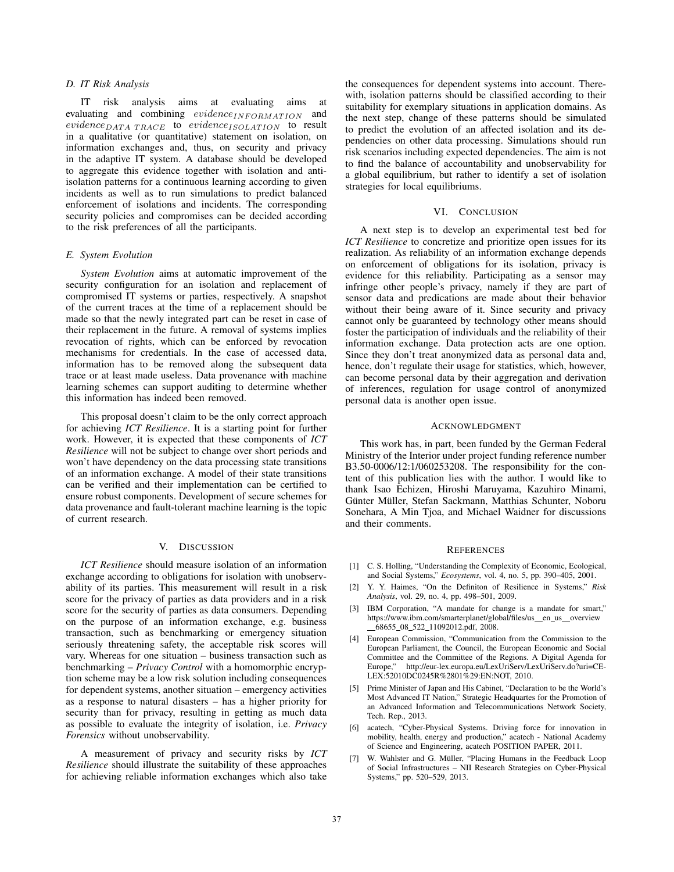# *D. IT Risk Analysis*

IT risk analysis aims at evaluating aims at evaluating and combining evidence*INF ORMAT ION* and evidence<sub>DATA</sub> TRACE to evidence<sub>ISOLATION</sub> to result in a qualitative (or quantitative) statement on isolation, on information exchanges and, thus, on security and privacy in the adaptive IT system. A database should be developed to aggregate this evidence together with isolation and antiisolation patterns for a continuous learning according to given incidents as well as to run simulations to predict balanced enforcement of isolations and incidents. The corresponding security policies and compromises can be decided according to the risk preferences of all the participants.

#### *E. System Evolution*

*System Evolution* aims at automatic improvement of the security configuration for an isolation and replacement of compromised IT systems or parties, respectively. A snapshot of the current traces at the time of a replacement should be made so that the newly integrated part can be reset in case of their replacement in the future. A removal of systems implies revocation of rights, which can be enforced by revocation mechanisms for credentials. In the case of accessed data, information has to be removed along the subsequent data trace or at least made useless. Data provenance with machine learning schemes can support auditing to determine whether this information has indeed been removed.

This proposal doesn't claim to be the only correct approach for achieving *ICT Resilience*. It is a starting point for further work. However, it is expected that these components of *ICT Resilience* will not be subject to change over short periods and won't have dependency on the data processing state transitions of an information exchange. A model of their state transitions can be verified and their implementation can be certified to ensure robust components. Development of secure schemes for data provenance and fault-tolerant machine learning is the topic of current research.

## V. DISCUSSION

*ICT Resilience* should measure isolation of an information exchange according to obligations for isolation with unobservability of its parties. This measurement will result in a risk score for the privacy of parties as data providers and in a risk score for the security of parties as data consumers. Depending on the purpose of an information exchange, e.g. business transaction, such as benchmarking or emergency situation seriously threatening safety, the acceptable risk scores will vary. Whereas for one situation – business transaction such as benchmarking – *Privacy Control* with a homomorphic encryption scheme may be a low risk solution including consequences for dependent systems, another situation – emergency activities as a response to natural disasters – has a higher priority for security than for privacy, resulting in getting as much data as possible to evaluate the integrity of isolation, i.e. *Privacy Forensics* without unobservability.

A measurement of privacy and security risks by *ICT Resilience* should illustrate the suitability of these approaches for achieving reliable information exchanges which also take

the consequences for dependent systems into account. Therewith, isolation patterns should be classified according to their suitability for exemplary situations in application domains. As the next step, change of these patterns should be simulated to predict the evolution of an affected isolation and its dependencies on other data processing. Simulations should run risk scenarios including expected dependencies. The aim is not to find the balance of accountability and unobservability for a global equilibrium, but rather to identify a set of isolation strategies for local equilibriums.

## VI. CONCLUSION

A next step is to develop an experimental test bed for *ICT Resilience* to concretize and prioritize open issues for its realization. As reliability of an information exchange depends on enforcement of obligations for its isolation, privacy is evidence for this reliability. Participating as a sensor may infringe other people's privacy, namely if they are part of sensor data and predications are made about their behavior without their being aware of it. Since security and privacy cannot only be guaranteed by technology other means should foster the participation of individuals and the reliability of their information exchange. Data protection acts are one option. Since they don't treat anonymized data as personal data and, hence, don't regulate their usage for statistics, which, however, can become personal data by their aggregation and derivation of inferences, regulation for usage control of anonymized personal data is another open issue.

#### ACKNOWLEDGMENT

This work has, in part, been funded by the German Federal Ministry of the Interior under project funding reference number B3.50-0006/12:1/060253208. The responsibility for the content of this publication lies with the author. I would like to thank Isao Echizen, Hiroshi Maruyama, Kazuhiro Minami, Günter Müller, Stefan Sackmann, Matthias Schunter, Noboru Sonehara, A Min Tjoa, and Michael Waidner for discussions and their comments.

## **REFERENCES**

- [1] C. S. Holling, "Understanding the Complexity of Economic, Ecological, and Social Systems," *Ecosystems*, vol. 4, no. 5, pp. 390–405, 2001.
- [2] Y. Y. Haimes, "On the Definiton of Resilience in Systems," *Risk Analysis*, vol. 29, no. 4, pp. 498–501, 2009.
- [3] IBM Corporation, "A mandate for change is a mandate for smart," https://www.ibm.com/smarterplanet/global/files/us\_en\_us\_overview 68655 08 522 11092012.pdf, 2008.
- [4] European Commission, "Communication from the Commission to the European Parliament, the Council, the European Economic and Social Committee and the Committee of the Regions. A Digital Agenda for Europe," http://eur-lex.europa.eu/LexUriServ/LexUriServ.do?uri=CE-LEX:52010DC0245R%2801%29:EN:NOT, 2010.
- Prime Minister of Japan and His Cabinet, "Declaration to be the World's Most Advanced IT Nation," Strategic Headquartes for the Promotion of an Advanced Information and Telecommunications Network Society, Tech. Rep., 2013.
- [6] acatech, "Cyber-Physical Systems. Driving force for innovation in mobility, health, energy and production," acatech - National Academy of Science and Engineering, acatech POSITION PAPER, 2011.
- [7] W. Wahlster and G. Müller, "Placing Humans in the Feedback Loop of Social Infrastructures – NII Research Strategies on Cyber-Physical Systems," pp. 520–529, 2013.